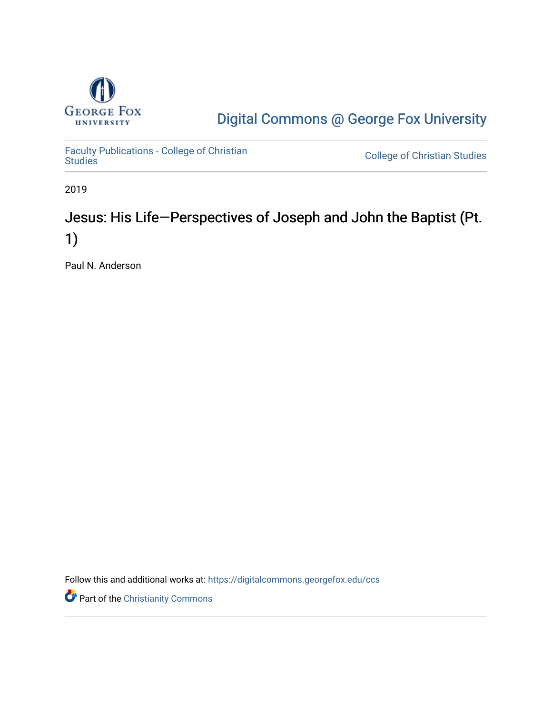

[Digital Commons @ George Fox University](https://digitalcommons.georgefox.edu/) 

[Faculty Publications - College of Christian](https://digitalcommons.georgefox.edu/ccs) 

**College of Christian Studies** 

2019

## Jesus: His Life—Perspectives of Joseph and John the Baptist (Pt. 1)

Paul N. Anderson

Follow this and additional works at: [https://digitalcommons.georgefox.edu/ccs](https://digitalcommons.georgefox.edu/ccs?utm_source=digitalcommons.georgefox.edu%2Fccs%2F358&utm_medium=PDF&utm_campaign=PDFCoverPages) 

**Part of the Christianity Commons**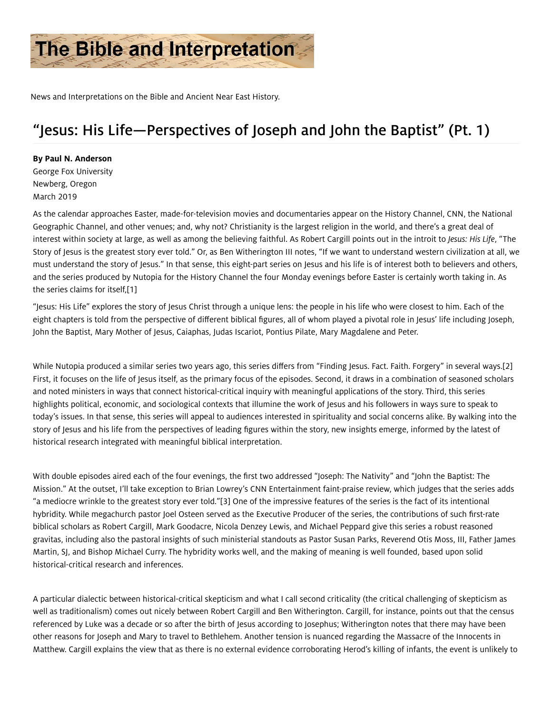

News and Interpretations on the Bible and Ancient Near East History.

## "Jesus: His Life—Perspectives of Joseph and John the Baptist" (Pt. 1)

## By Paul N. Anderson

George Fox University Newberg, Oregon March 2019

As the calendar approaches Easter, made-for-television movies and documentaries appear on the History Channel, CNN, the National Geographic Channel, and other venues; and, why not? Christianity is the largest religion in the world, and there's a great deal of interest within society at large, as well as among the believing faithful. As Robert Cargill points out in the introit to Jesus: His Life, "The Story of Jesus is the greatest story ever told." Or, as Ben Witherington III notes, "If we want to understand western civilization at all, we must understand the story of Jesus." In that sense, this eight-part series on Jesus and his life is of interest both to believers and others, and the series produced by Nutopia for the History Channel the four Monday evenings before Easter is certainly worth taking in. As the series claims for itself[,\[1\]](#page-2-0)

<span id="page-1-0"></span>"Jesus: His Life" explores the story of Jesus Christ through a unique lens: the people in his life who were closest to him. Each of the eight chapters is told from the perspective of different biblical figures, all of whom played a pivotal role in Jesus' life including Joseph, John the Baptist, Mary Mother of Jesus, Caiaphas, Judas Iscariot, Pontius Pilate, Mary Magdalene and Peter.

<span id="page-1-1"></span>While Nutopia produced a similar series two years ago, this series differs from "Finding Jesus. Fact. Faith. Forgery" in several ways.[\[2\]](#page-3-0) First, it focuses on the life of Jesus itself, as the primary focus of the episodes. Second, it draws in a combination of seasoned scholars and noted ministers in ways that connect historical-critical inquiry with meaningful applications of the story. Third, this series highlights political, economic, and sociological contexts that illumine the work of Jesus and his followers in ways sure to speak to today's issues. In that sense, this series will appeal to audiences interested in spirituality and social concerns alike. By walking into the story of Jesus and his life from the perspectives of leading figures within the story, new insights emerge, informed by the latest of historical research integrated with meaningful biblical interpretation.

<span id="page-1-2"></span>With double episodes aired each of the four evenings, the first two addressed "Joseph: The Nativity" and "John the Baptist: The Mission." At the outset, I'll take exception to Brian Lowrey's CNN Entertainment faint-praise review, which judges that the series adds "a mediocre wrinkle to the greatest story ever told.["\[3\]](#page-3-1) One of the impressive features of the series is the fact of its intentional hybridity. While megachurch pastor Joel Osteen served as the Executive Producer of the series, the contributions of such first-rate biblical scholars as Robert Cargill, Mark Goodacre, Nicola Denzey Lewis, and Michael Peppard give this series a robust reasoned gravitas, including also the pastoral insights of such ministerial standouts as Pastor Susan Parks, Reverend Otis Moss, III, Father James Martin, SJ, and Bishop Michael Curry. The hybridity works well, and the making of meaning is well founded, based upon solid historical-critical research and inferences.

A particular dialectic between historical-critical skepticism and what I call second criticality (the critical challenging of skepticism as well as traditionalism) comes out nicely between Robert Cargill and Ben Witherington. Cargill, for instance, points out that the census referenced by Luke was a decade or so after the birth of Jesus according to Josephus; Witherington notes that there may have been other reasons for Joseph and Mary to travel to Bethlehem. Another tension is nuanced regarding the Massacre of the Innocents in Matthew. Cargill explains the view that as there is no external evidence corroborating Herod's killing of infants, the event is unlikely to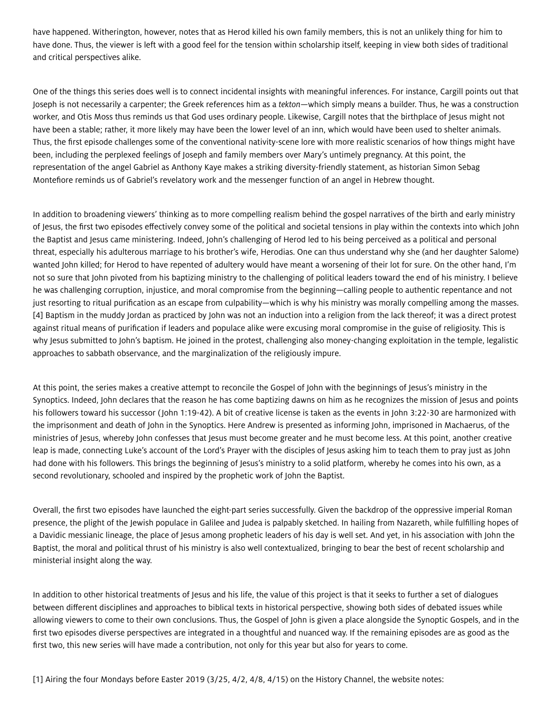have happened. Witherington, however, notes that as Herod killed his own family members, this is not an unlikely thing for him to have done. Thus, the viewer is left with a good feel for the tension within scholarship itself, keeping in view both sides of traditional and critical perspectives alike.

One of the things this series does well is to connect incidental insights with meaningful inferences. For instance, Cargill points out that Joseph is not necessarily a carpenter; the Greek references him as a tekton—which simply means a builder. Thus, he was a construction worker, and Otis Moss thus reminds us that God uses ordinary people. Likewise, Cargill notes that the birthplace of Jesus might not have been a stable; rather, it more likely may have been the lower level of an inn, which would have been used to shelter animals. Thus, the first episode challenges some of the conventional nativity-scene lore with more realistic scenarios of how things might have been, including the perplexed feelings of Joseph and family members over Mary's untimely pregnancy. At this point, the representation of the angel Gabriel as Anthony Kaye makes a striking diversity-friendly statement, as historian Simon Sebag Montefiore reminds us of Gabriel's revelatory work and the messenger function of an angel in Hebrew thought.

In addition to broadening viewers' thinking as to more compelling realism behind the gospel narratives of the birth and early ministry of Jesus, the first two episodes effectively convey some of the political and societal tensions in play within the contexts into which John the Baptist and Jesus came ministering. Indeed, John's challenging of Herod led to his being perceived as a political and personal threat, especially his adulterous marriage to his brother's wife, Herodias. One can thus understand why she (and her daughter Salome) wanted John killed; for Herod to have repented of adultery would have meant a worsening of their lot for sure. On the other hand, I'm not so sure that John pivoted from his baptizing ministry to the challenging of political leaders toward the end of his ministry. I believe he was challenging corruption, injustice, and moral compromise from the beginning—calling people to authentic repentance and not just resorting to ritual purification as an escape from culpability—which is why his ministry was morally compelling among the masses. [\[4\]](#page-3-2) Baptism in the muddy Jordan as practiced by John was not an induction into a religion from the lack thereof; it was a direct protest against ritual means of purification if leaders and populace alike were excusing moral compromise in the guise of religiosity. This is why Jesus submitted to John's baptism. He joined in the protest, challenging also money-changing exploitation in the temple, legalistic approaches to sabbath observance, and the marginalization of the religiously impure.

<span id="page-2-1"></span>At this point, the series makes a creative attempt to reconcile the Gospel of John with the beginnings of Jesus's ministry in the Synoptics. Indeed, John declares that the reason he has come baptizing dawns on him as he recognizes the mission of Jesus and points his followers toward his successor ( John 1:19-42). A bit of creative license is taken as the events in John 3:22-30 are harmonized with the imprisonment and death of John in the Synoptics. Here Andrew is presented as informing John, imprisoned in Machaerus, of the ministries of Jesus, whereby John confesses that Jesus must become greater and he must become less. At this point, another creative leap is made, connecting Luke's account of the Lord's Prayer with the disciples of Jesus asking him to teach them to pray just as John had done with his followers. This brings the beginning of Jesus's ministry to a solid platform, whereby he comes into his own, as a second revolutionary, schooled and inspired by the prophetic work of John the Baptist.

Overall, the first two episodes have launched the eight-part series successfully. Given the backdrop of the oppressive imperial Roman presence, the plight of the Jewish populace in Galilee and Judea is palpably sketched. In hailing from Nazareth, while fulfilling hopes of a Davidic messianic lineage, the place of Jesus among prophetic leaders of his day is well set. And yet, in his association with John the Baptist, the moral and political thrust of his ministry is also well contextualized, bringing to bear the best of recent scholarship and ministerial insight along the way.

In addition to other historical treatments of Jesus and his life, the value of this project is that it seeks to further a set of dialogues between different disciplines and approaches to biblical texts in historical perspective, showing both sides of debated issues while allowing viewers to come to their own conclusions. Thus, the Gospel of John is given a place alongside the Synoptic Gospels, and in the first two episodes diverse perspectives are integrated in a thoughtful and nuanced way. If the remaining episodes are as good as the first two, this new series will have made a contribution, not only for this year but also for years to come.

<span id="page-2-0"></span>[\[1\]](#page-1-0) Airing the four Mondays before Easter 2019 (3/25, 4/2, 4/8, 4/15) on the History Channel, the website notes: